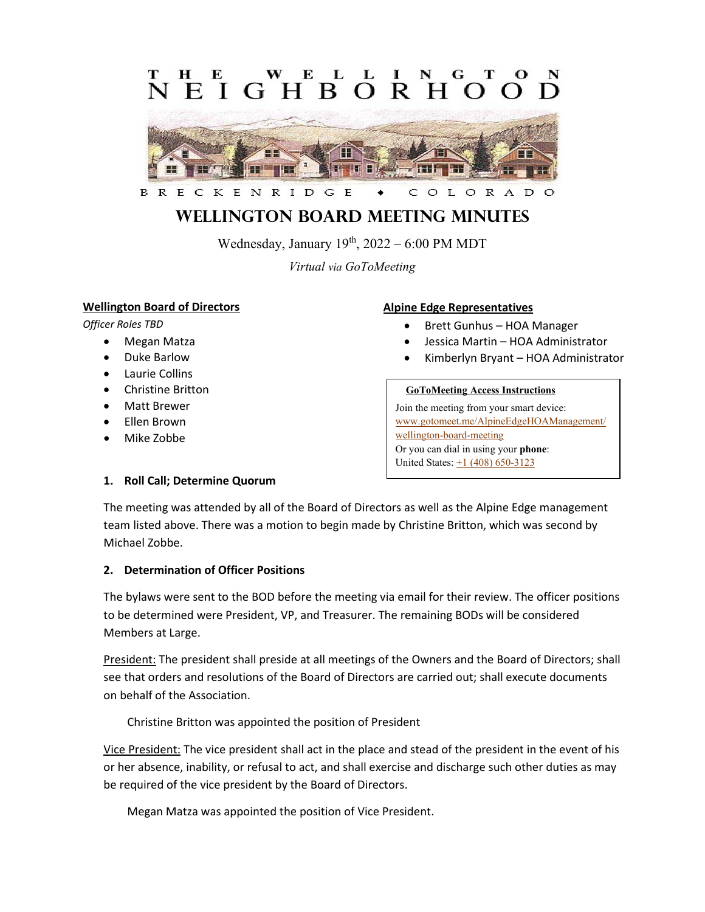### L EIGHBORH  $\Omega$



#### CKENRIDGE B R E C OLORAD

# **Wellington Board Meeting MINUTES**

Wednesday, January  $19<sup>th</sup>$ ,  $2022 - 6:00$  PM MDT

*Virtual via GoToMeeting*

### **Wellington Board of Directors**

*Officer Roles TBD*

- Megan Matza
- Duke Barlow
- Laurie Collins
- Christine Britton
- Matt Brewer
- Ellen Brown
- Mike Zobbe

# **Alpine Edge Representatives**

- Brett Gunhus HOA Manager
- Jessica Martin HOA Administrator
- Kimberlyn Bryant HOA Administrator

#### **GoToMeeting Access Instructions**

Join the meeting from your smart device: [www.gotomeet.me/AlpineEdgeHOAManagement/](https://www.gotomeet.me/AlpineEdgeHOAManagement/wellington-board-meeting) [wellington-board-meeting](https://www.gotomeet.me/AlpineEdgeHOAManagement/wellington-board-meeting) Or you can dial in using your **phone**: United States:  $\pm 1$  (408) 650-3123

#### **1. Roll Call; Determine Quorum**

The meeting was attended by all of the Board of Directors as well as the Alpine Edge management team listed above. There was a motion to begin made by Christine Britton, which was second by Michael Zobbe.

#### **2. Determination of Officer Positions**

The bylaws were sent to the BOD before the meeting via email for their review. The officer positions to be determined were President, VP, and Treasurer. The remaining BODs will be considered Members at Large.

President: The president shall preside at all meetings of the Owners and the Board of Directors; shall see that orders and resolutions of the Board of Directors are carried out; shall execute documents on behalf of the Association.

Christine Britton was appointed the position of President

Vice President: The vice president shall act in the place and stead of the president in the event of his or her absence, inability, or refusal to act, and shall exercise and discharge such other duties as may be required of the vice president by the Board of Directors.

Megan Matza was appointed the position of Vice President.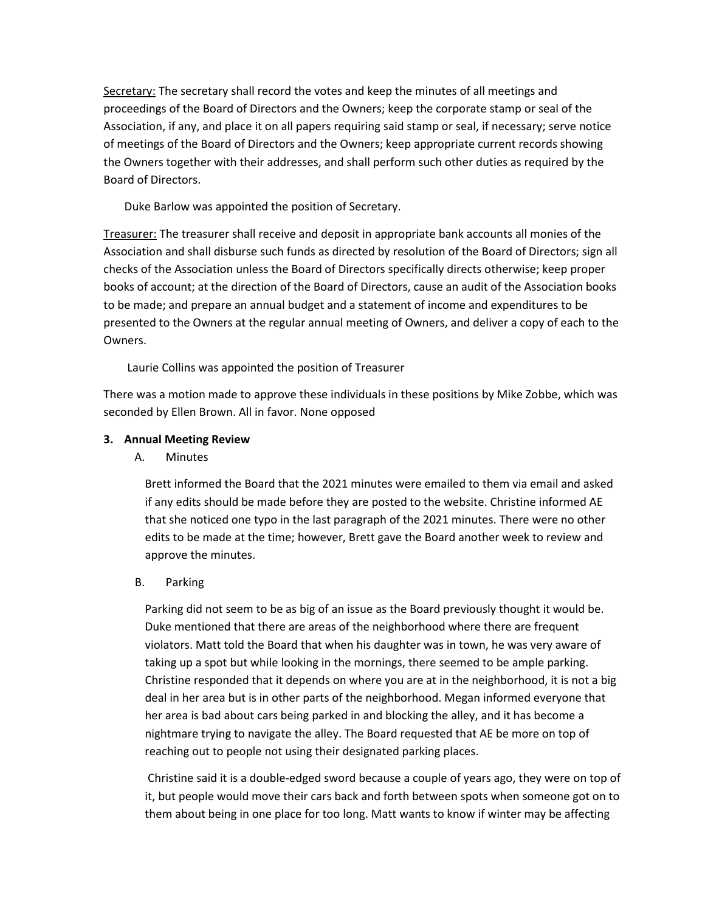Secretary: The secretary shall record the votes and keep the minutes of all meetings and proceedings of the Board of Directors and the Owners; keep the corporate stamp or seal of the Association, if any, and place it on all papers requiring said stamp or seal, if necessary; serve notice of meetings of the Board of Directors and the Owners; keep appropriate current records showing the Owners together with their addresses, and shall perform such other duties as required by the Board of Directors.

Duke Barlow was appointed the position of Secretary.

Treasurer: The treasurer shall receive and deposit in appropriate bank accounts all monies of the Association and shall disburse such funds as directed by resolution of the Board of Directors; sign all checks of the Association unless the Board of Directors specifically directs otherwise; keep proper books of account; at the direction of the Board of Directors, cause an audit of the Association books to be made; and prepare an annual budget and a statement of income and expenditures to be presented to the Owners at the regular annual meeting of Owners, and deliver a copy of each to the Owners.

Laurie Collins was appointed the position of Treasurer

There was a motion made to approve these individuals in these positions by Mike Zobbe, which was seconded by Ellen Brown. All in favor. None opposed

### **3. Annual Meeting Review**

#### A. Minutes

Brett informed the Board that the 2021 minutes were emailed to them via email and asked if any edits should be made before they are posted to the website. Christine informed AE that she noticed one typo in the last paragraph of the 2021 minutes. There were no other edits to be made at the time; however, Brett gave the Board another week to review and approve the minutes.

#### B. Parking

Parking did not seem to be as big of an issue as the Board previously thought it would be. Duke mentioned that there are areas of the neighborhood where there are frequent violators. Matt told the Board that when his daughter was in town, he was very aware of taking up a spot but while looking in the mornings, there seemed to be ample parking. Christine responded that it depends on where you are at in the neighborhood, it is not a big deal in her area but is in other parts of the neighborhood. Megan informed everyone that her area is bad about cars being parked in and blocking the alley, and it has become a nightmare trying to navigate the alley. The Board requested that AE be more on top of reaching out to people not using their designated parking places.

Christine said it is a double-edged sword because a couple of years ago, they were on top of it, but people would move their cars back and forth between spots when someone got on to them about being in one place for too long. Matt wants to know if winter may be affecting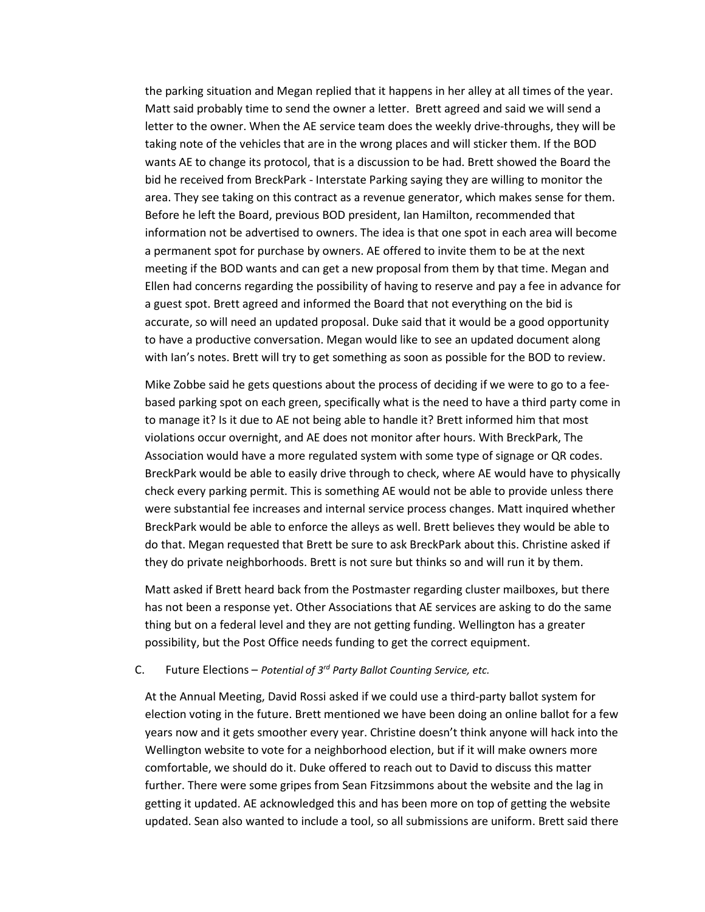the parking situation and Megan replied that it happens in her alley at all times of the year. Matt said probably time to send the owner a letter. Brett agreed and said we will send a letter to the owner. When the AE service team does the weekly drive-throughs, they will be taking note of the vehicles that are in the wrong places and will sticker them. If the BOD wants AE to change its protocol, that is a discussion to be had. Brett showed the Board the bid he received from BreckPark - Interstate Parking saying they are willing to monitor the area. They see taking on this contract as a revenue generator, which makes sense for them. Before he left the Board, previous BOD president, Ian Hamilton, recommended that information not be advertised to owners. The idea is that one spot in each area will become a permanent spot for purchase by owners. AE offered to invite them to be at the next meeting if the BOD wants and can get a new proposal from them by that time. Megan and Ellen had concerns regarding the possibility of having to reserve and pay a fee in advance for a guest spot. Brett agreed and informed the Board that not everything on the bid is accurate, so will need an updated proposal. Duke said that it would be a good opportunity to have a productive conversation. Megan would like to see an updated document along with Ian's notes. Brett will try to get something as soon as possible for the BOD to review.

Mike Zobbe said he gets questions about the process of deciding if we were to go to a feebased parking spot on each green, specifically what is the need to have a third party come in to manage it? Is it due to AE not being able to handle it? Brett informed him that most violations occur overnight, and AE does not monitor after hours. With BreckPark, The Association would have a more regulated system with some type of signage or QR codes. BreckPark would be able to easily drive through to check, where AE would have to physically check every parking permit. This is something AE would not be able to provide unless there were substantial fee increases and internal service process changes. Matt inquired whether BreckPark would be able to enforce the alleys as well. Brett believes they would be able to do that. Megan requested that Brett be sure to ask BreckPark about this. Christine asked if they do private neighborhoods. Brett is not sure but thinks so and will run it by them.

Matt asked if Brett heard back from the Postmaster regarding cluster mailboxes, but there has not been a response yet. Other Associations that AE services are asking to do the same thing but on a federal level and they are not getting funding. Wellington has a greater possibility, but the Post Office needs funding to get the correct equipment.

#### C. Future Elections – *Potential of 3rd Party Ballot Counting Service, etc.*

At the Annual Meeting, David Rossi asked if we could use a third-party ballot system for election voting in the future. Brett mentioned we have been doing an online ballot for a few years now and it gets smoother every year. Christine doesn't think anyone will hack into the Wellington website to vote for a neighborhood election, but if it will make owners more comfortable, we should do it. Duke offered to reach out to David to discuss this matter further. There were some gripes from Sean Fitzsimmons about the website and the lag in getting it updated. AE acknowledged this and has been more on top of getting the website updated. Sean also wanted to include a tool, so all submissions are uniform. Brett said there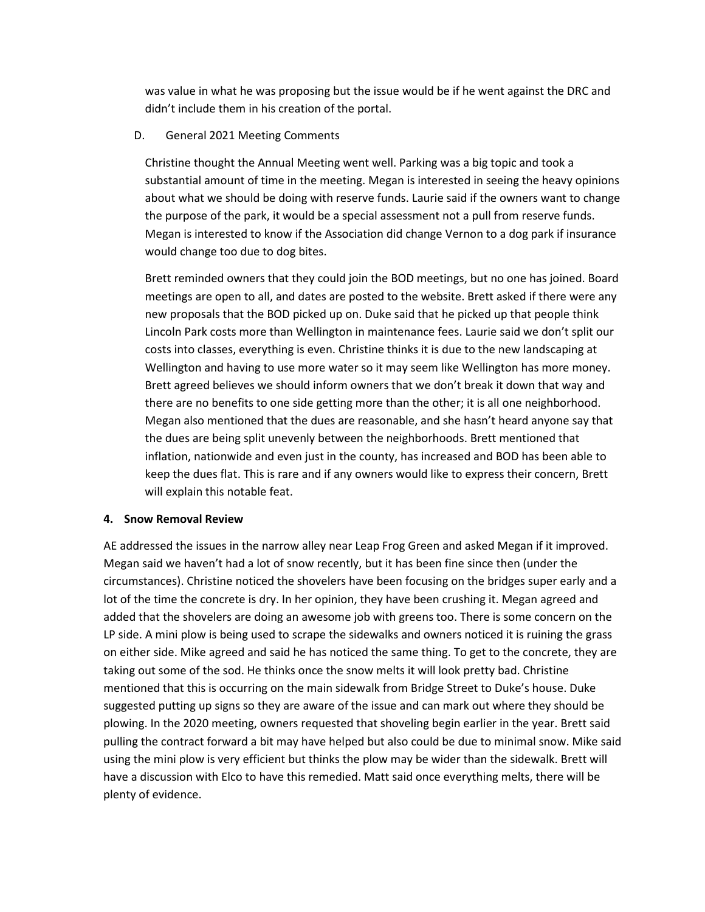was value in what he was proposing but the issue would be if he went against the DRC and didn't include them in his creation of the portal.

#### D. General 2021 Meeting Comments

Christine thought the Annual Meeting went well. Parking was a big topic and took a substantial amount of time in the meeting. Megan is interested in seeing the heavy opinions about what we should be doing with reserve funds. Laurie said if the owners want to change the purpose of the park, it would be a special assessment not a pull from reserve funds. Megan is interested to know if the Association did change Vernon to a dog park if insurance would change too due to dog bites.

Brett reminded owners that they could join the BOD meetings, but no one has joined. Board meetings are open to all, and dates are posted to the website. Brett asked if there were any new proposals that the BOD picked up on. Duke said that he picked up that people think Lincoln Park costs more than Wellington in maintenance fees. Laurie said we don't split our costs into classes, everything is even. Christine thinks it is due to the new landscaping at Wellington and having to use more water so it may seem like Wellington has more money. Brett agreed believes we should inform owners that we don't break it down that way and there are no benefits to one side getting more than the other; it is all one neighborhood. Megan also mentioned that the dues are reasonable, and she hasn't heard anyone say that the dues are being split unevenly between the neighborhoods. Brett mentioned that inflation, nationwide and even just in the county, has increased and BOD has been able to keep the dues flat. This is rare and if any owners would like to express their concern, Brett will explain this notable feat.

#### **4. Snow Removal Review**

AE addressed the issues in the narrow alley near Leap Frog Green and asked Megan if it improved. Megan said we haven't had a lot of snow recently, but it has been fine since then (under the circumstances). Christine noticed the shovelers have been focusing on the bridges super early and a lot of the time the concrete is dry. In her opinion, they have been crushing it. Megan agreed and added that the shovelers are doing an awesome job with greens too. There is some concern on the LP side. A mini plow is being used to scrape the sidewalks and owners noticed it is ruining the grass on either side. Mike agreed and said he has noticed the same thing. To get to the concrete, they are taking out some of the sod. He thinks once the snow melts it will look pretty bad. Christine mentioned that this is occurring on the main sidewalk from Bridge Street to Duke's house. Duke suggested putting up signs so they are aware of the issue and can mark out where they should be plowing. In the 2020 meeting, owners requested that shoveling begin earlier in the year. Brett said pulling the contract forward a bit may have helped but also could be due to minimal snow. Mike said using the mini plow is very efficient but thinks the plow may be wider than the sidewalk. Brett will have a discussion with Elco to have this remedied. Matt said once everything melts, there will be plenty of evidence.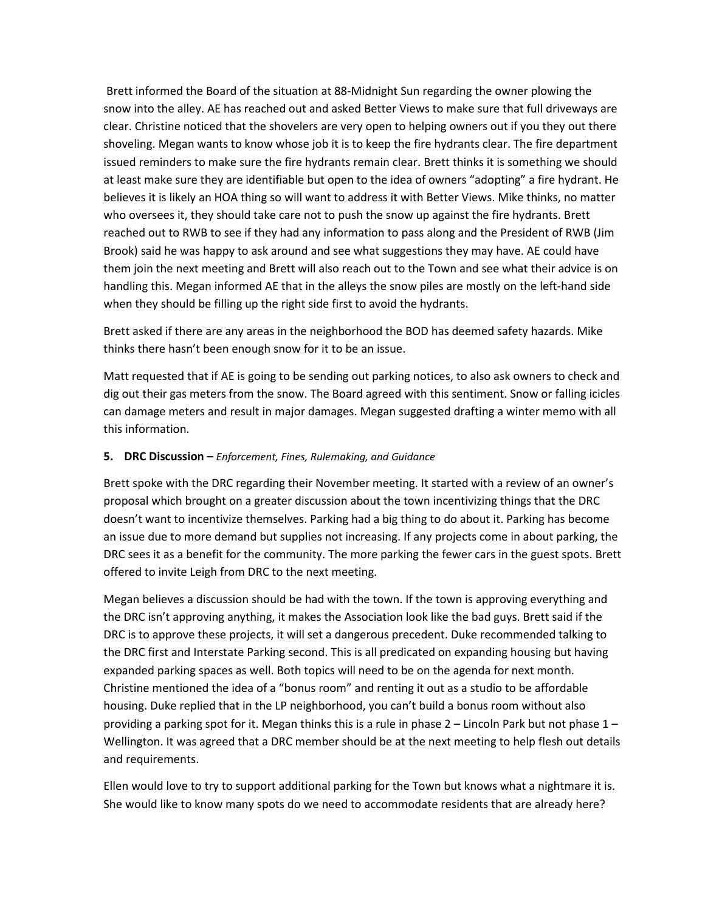Brett informed the Board of the situation at 88-Midnight Sun regarding the owner plowing the snow into the alley. AE has reached out and asked Better Views to make sure that full driveways are clear. Christine noticed that the shovelers are very open to helping owners out if you they out there shoveling. Megan wants to know whose job it is to keep the fire hydrants clear. The fire department issued reminders to make sure the fire hydrants remain clear. Brett thinks it is something we should at least make sure they are identifiable but open to the idea of owners "adopting" a fire hydrant. He believes it is likely an HOA thing so will want to address it with Better Views. Mike thinks, no matter who oversees it, they should take care not to push the snow up against the fire hydrants. Brett reached out to RWB to see if they had any information to pass along and the President of RWB (Jim Brook) said he was happy to ask around and see what suggestions they may have. AE could have them join the next meeting and Brett will also reach out to the Town and see what their advice is on handling this. Megan informed AE that in the alleys the snow piles are mostly on the left-hand side when they should be filling up the right side first to avoid the hydrants.

Brett asked if there are any areas in the neighborhood the BOD has deemed safety hazards. Mike thinks there hasn't been enough snow for it to be an issue.

Matt requested that if AE is going to be sending out parking notices, to also ask owners to check and dig out their gas meters from the snow. The Board agreed with this sentiment. Snow or falling icicles can damage meters and result in major damages. Megan suggested drafting a winter memo with all this information.

#### **5. DRC Discussion –** *Enforcement, Fines, Rulemaking, and Guidance*

Brett spoke with the DRC regarding their November meeting. It started with a review of an owner's proposal which brought on a greater discussion about the town incentivizing things that the DRC doesn't want to incentivize themselves. Parking had a big thing to do about it. Parking has become an issue due to more demand but supplies not increasing. If any projects come in about parking, the DRC sees it as a benefit for the community. The more parking the fewer cars in the guest spots. Brett offered to invite Leigh from DRC to the next meeting.

Megan believes a discussion should be had with the town. If the town is approving everything and the DRC isn't approving anything, it makes the Association look like the bad guys. Brett said if the DRC is to approve these projects, it will set a dangerous precedent. Duke recommended talking to the DRC first and Interstate Parking second. This is all predicated on expanding housing but having expanded parking spaces as well. Both topics will need to be on the agenda for next month. Christine mentioned the idea of a "bonus room" and renting it out as a studio to be affordable housing. Duke replied that in the LP neighborhood, you can't build a bonus room without also providing a parking spot for it. Megan thinks this is a rule in phase 2 – Lincoln Park but not phase 1 – Wellington. It was agreed that a DRC member should be at the next meeting to help flesh out details and requirements.

Ellen would love to try to support additional parking for the Town but knows what a nightmare it is. She would like to know many spots do we need to accommodate residents that are already here?